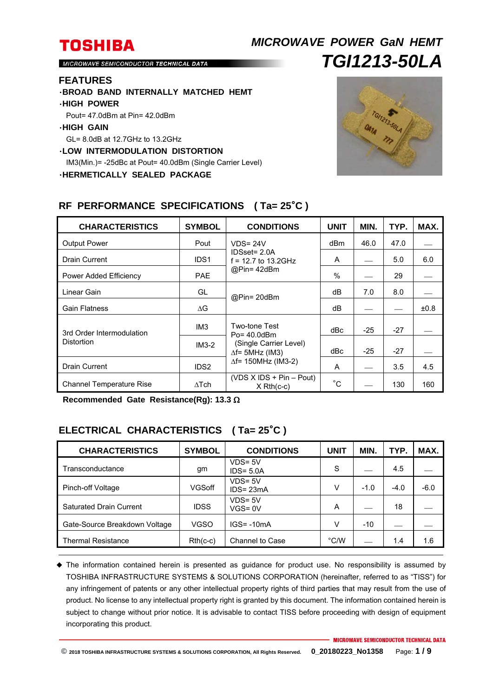# **TOSHIBA** *MICROWAVE POWER GaN HEMT TGI1213-50LA*

MICROWAVE SEMICONDUCTOR TECHNICAL DATA

#### **FEATURES**

- ・**BROAD BAND INTERNALLY MATCHED HEMT** ・**HIGH POWER**
- 
- Pout= 47.0dBm at Pin= 42.0dBm
- ・**HIGH GAIN**

GL= 8.0dB at 12.7GHz to 13.2GHz

- ・**LOW INTERMODULATION DISTORTION**
- IM3(Min.)= -25dBc at Pout= 40.0dBm (Single Carrier Level)
- ・**HERMETICALLY SEALED PACKAGE**



| <b>CHARACTERISTICS</b>                  | <b>SYMBOL</b>    | <b>CONDITIONS</b>                                                                                                   | <b>UNIT</b>   | MIN.  | TYP.  | MAX.      |
|-----------------------------------------|------------------|---------------------------------------------------------------------------------------------------------------------|---------------|-------|-------|-----------|
| <b>Output Power</b>                     | Pout             | $VDS = 24V$<br>IDSset= 2.0A<br>$f = 12.7$ to 13.2GHz<br>@Pin= 42dBm                                                 | dBm           | 46.0  | 47.0  |           |
| <b>Drain Current</b>                    | IDS <sub>1</sub> |                                                                                                                     | A             |       | 5.0   | 6.0       |
| Power Added Efficiency                  | <b>PAE</b>       |                                                                                                                     | $\frac{0}{0}$ |       | 29    |           |
| Linear Gain                             | GL               | @Pin=20dBm                                                                                                          | dB            | 7.0   | 8.0   |           |
| <b>Gain Flatness</b>                    | $\Delta G$       |                                                                                                                     | dB            |       |       | $\pm 0.8$ |
| 3rd Order Intermodulation<br>Distortion | IM <sub>3</sub>  | Two-tone Test<br>$Po = 40.0dBm$<br>(Single Carrier Level)<br>$\Delta f$ = 5MHz (IM3)<br>$\Delta f$ = 150MHz (IM3-2) | dBc           | $-25$ | $-27$ |           |
|                                         | $IM3-2$          |                                                                                                                     | dBc           | $-25$ | $-27$ |           |
| <b>Drain Current</b>                    | IDS <sub>2</sub> |                                                                                                                     | A             |       | 3.5   | 4.5       |
| <b>Channel Temperature Rise</b>         | $\Delta$ Tch     | $(VDS X IDs + Pin - Pout)$<br>$X$ Rth $(c-c)$                                                                       | $^{\circ}$ C  |       | 130   | 160       |

### **RF PERFORMANCE SPECIFICATIONS ( Ta= 25**°**C )**

**Recommended Gate Resistance(Rg): 13.3** 

### **ELECTRICAL CHARACTERISTICS ( Ta= 25**°**C )**

| <b>CHARACTERISTICS</b>         | <b>SYMBOL</b> | <b>CONDITIONS</b>          | <b>UNIT</b> | MIN.   | TYP.   | MAX.   |
|--------------------------------|---------------|----------------------------|-------------|--------|--------|--------|
| Transconductance               | gm            | $VDS = 5V$<br>$IDS = 5.0A$ | S           |        | 4.5    |        |
| Pinch-off Voltage              | VGSoff        | $VDS = 5V$<br>$IDS = 23mA$ | v           | $-1.0$ | $-4.0$ | $-6.0$ |
| <b>Saturated Drain Current</b> | <b>IDSS</b>   | $VDS = 5V$<br>$VGS = 0V$   | A           |        | 18     |        |
| Gate-Source Breakdown Voltage  | VGSO          | $IGS = -10mA$              | v           | $-10$  |        |        |
| Thermal Resistance             | $Rth(c-c)$    | Channel to Case            | °C/W        |        | 1.4    | 1.6    |

 The information contained herein is presented as guidance for product use. No responsibility is assumed by TOSHIBA INFRASTRUCTURE SYSTEMS & SOLUTIONS CORPORATION (hereinafter, referred to as "TISS") for any infringement of patents or any other intellectual property rights of third parties that may result from the use of product. No license to any intellectual property right is granted by this document. The information contained herein is subject to change without prior notice. It is advisable to contact TISS before proceeding with design of equipment incorporating this product.

**© 2018 TOSHIBA INFRASTRUCTURE SYSTEMS & SOLUTIONS CORPORATION, All Rights Reserved. 0\_20180223\_No1358** Page: **1 / 9**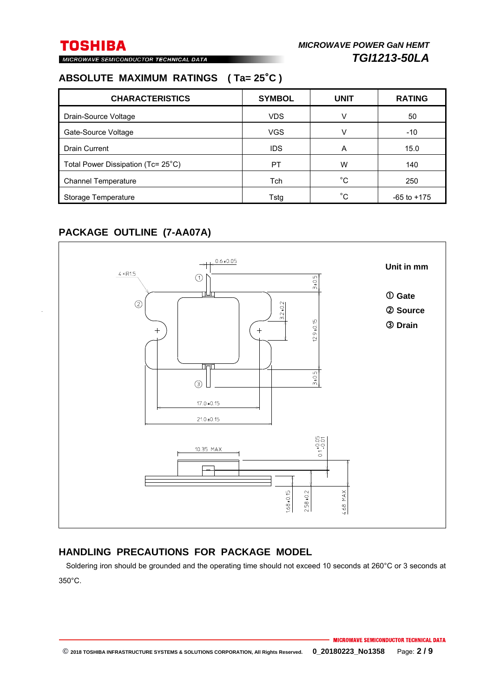MICROWAVE SEMICONDUCTOR TECHNICAL DATA

### **ABSOLUTE MAXIMUM RATINGS ( Ta= 25**°**C )**

| <b>CHARACTERISTICS</b>             | <b>SYMBOL</b> | <b>UNIT</b>  | <b>RATING</b>   |
|------------------------------------|---------------|--------------|-----------------|
| Drain-Source Voltage               | <b>VDS</b>    |              | 50              |
| Gate-Source Voltage                | <b>VGS</b>    |              | $-10$           |
| <b>Drain Current</b>               | <b>IDS</b>    | A            | 15.0            |
| Total Power Dissipation (Tc= 25°C) | PT            | W            | 140             |
| <b>Channel Temperature</b>         | Tch           | $^{\circ}$ C | 250             |
| Storage Temperature                | Tstg          | °C.          | $-65$ to $+175$ |

### **PACKAGE OUTLINE (7-AA07A)**



### **HANDLING PRECAUTIONS FOR PACKAGE MODEL**

Soldering iron should be grounded and the operating time should not exceed 10 seconds at 260°C or 3 seconds at 350°C.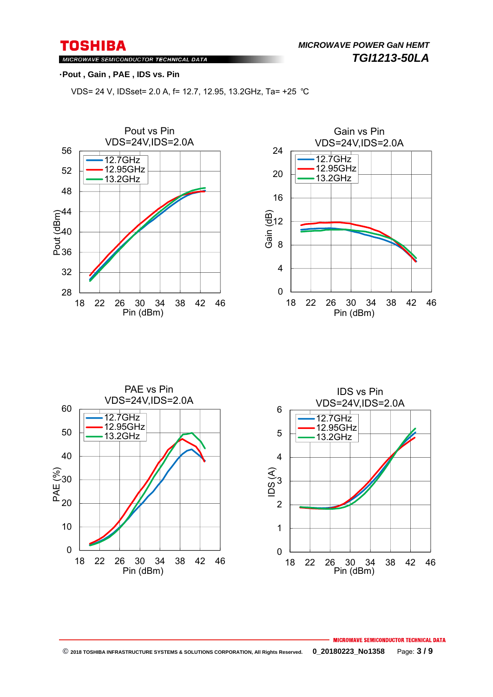MICROWAVE SEMICONDUCTOR TECHNICAL DATA

### ・**Pout , Gain , PAE , IDS vs. Pin**

VDS= 24 V, IDSset= 2.0 A, f= 12.7, 12.95, 13.2GHz, Ta= +25 ℃







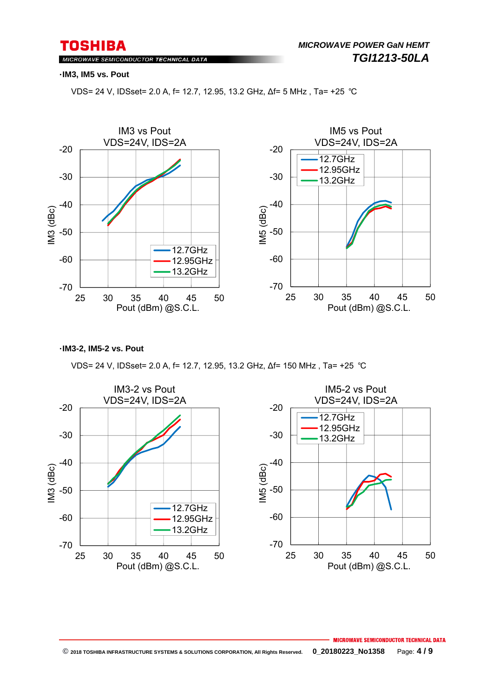MICROWAVE SEMICONDUCTOR TECHNICAL DATA

#### ・**IM3, IM5 vs. Pout**

VDS= 24 V, IDSset= 2.0 A, f= 12.7, 12.95, 13.2 GHz, ∆f= 5 MHz , Ta= +25 ℃



・**IM3-2, IM5-2 vs. Pout**

VDS= 24 V, IDSset= 2.0 A, f= 12.7, 12.95, 13.2 GHz, ∆f= 150 MHz , Ta= +25 ℃

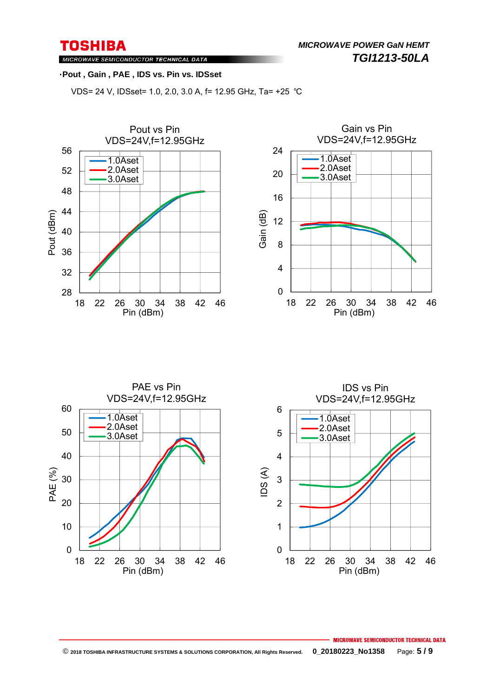*MICROWAVE POWER GaN HEMT TGI1213-50LA* 

MICROWAVE SEMICONDUCTOR TECHNICAL DATA

#### ・**Pout , Gain , PAE , IDS vs. Pin vs. IDSset**

VDS= 24 V, IDSset= 1.0, 2.0, 3.0 A, f= 12.95 GHz, Ta= +25 ℃







#### **MICROWAVE SEMICONDUCTOR TECHNICAL DATA © 2018 TOSHIBA INFRASTRUCTURE SYSTEMS & SOLUTIONS CORPORATION, All Rights Reserved. 0\_20180223\_No1358** Page: **5 / 9**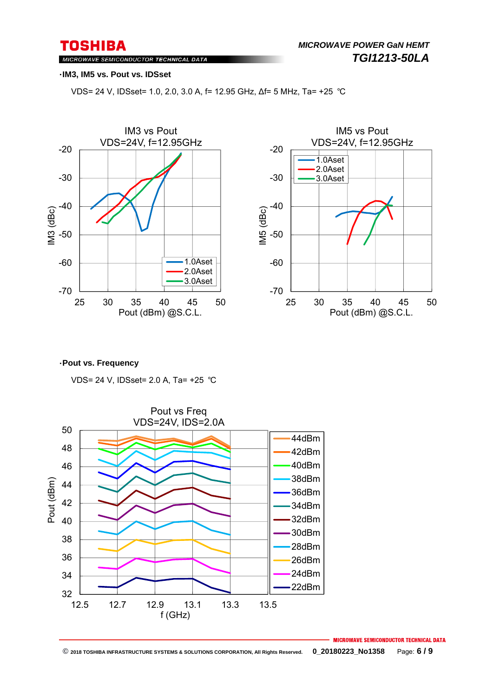MICROWAVE SEMICONDUCTOR TECHNICAL DATA

#### ・**IM3, IM5 vs. Pout vs. IDSset**

VDS= 24 V, IDSset= 1.0, 2.0, 3.0 A, f= 12.95 GHz, ∆f= 5 MHz, Ta= +25 ℃





#### ・**Pout vs. Frequency**

VDS= 24 V, IDSset= 2.0 A, Ta= +25 ℃



**MICROWAVE SEMICONDUCTOR TECHNICAL DATA**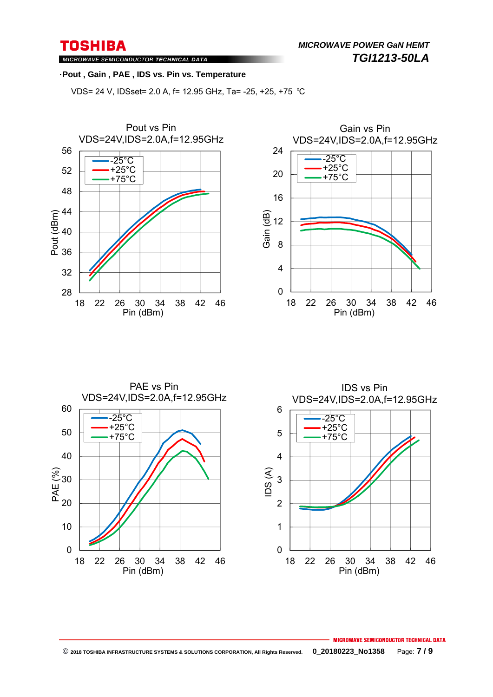*MICROWAVE POWER GaN HEMT TGI1213-50LA* 

MICROWAVE SEMICONDUCTOR TECHNICAL DATA

#### ・**Pout , Gain , PAE , IDS vs. Pin vs. Temperature**

VDS= 24 V, IDSset= 2.0 A, f= 12.95 GHz, Ta= -25, +25, +75 ℃







MICROWAVE SEMICONDUCTOR TECHNICAL DATA  **© 2018 TOSHIBA INFRASTRUCTURE SYSTEMS & SOLUTIONS CORPORATION, All Rights Reserved. 0\_20180223\_No1358** Page: **7 / 9**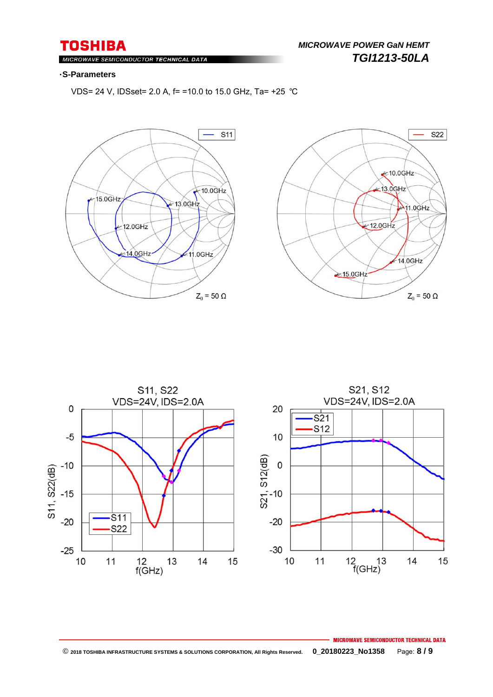### MICROWAVE SEMICONDUCTOR TECHNICAL DATA

#### ・**S-Parameters**

VDS= 24 V, IDSset= 2.0 A, f= =10.0 to 15.0 GHz, Ta= +25 ℃







#### **MICROWAVE SEMICONDUCTOR TECHNICAL DATA © 2018 TOSHIBA INFRASTRUCTURE SYSTEMS & SOLUTIONS CORPORATION, All Rights Reserved. 0\_20180223\_No1358** Page: **8 / 9**